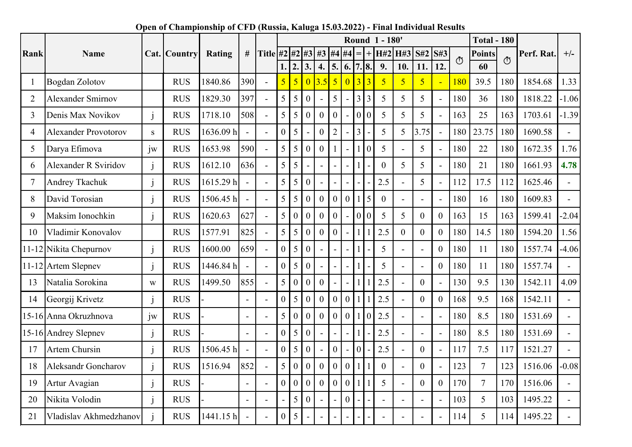|                |                             |              |              |           |                |                | <b>Total - 180</b><br>Round 1 - 180' |                  |                  |                  |                  |                  |                |                |                |                |                  |                  |         |                |                   |            |                |
|----------------|-----------------------------|--------------|--------------|-----------|----------------|----------------|--------------------------------------|------------------|------------------|------------------|------------------|------------------|----------------|----------------|----------------|----------------|------------------|------------------|---------|----------------|-------------------|------------|----------------|
| Rank           | Name                        |              | Cat. Country | Rating    | #              | Title $#2$     |                                      | #2               | #3               | #3               | #4 #4            |                  |                | $\overline{+}$ |                | H#2 H#3        | S#2              | S#3              | $\circ$ | <b>Points</b>  | $\ddot{\text{C}}$ | Perf. Rat. | $+/-$          |
|                |                             |              |              |           |                |                |                                      | $\overline{2}$ . | 3.               | 4.               |                  | 5.   6.          |                | 7.8.           | 9.             | 10.            | 11.              | 12.              |         | 60             |                   |            |                |
|                | <b>Bogdan Zolotov</b>       |              | <b>RUS</b>   | 1840.86   | 390            | $\mathbf{r}$   | $\overline{5}$                       | $\overline{5}$   | $\overline{0}$   | 3.5              | $\overline{5}$   | $\overline{0}$   | $\overline{3}$ | $\overline{3}$ | $\overline{5}$ | $\overline{5}$ | 5                | $\blacksquare$   | 180     | 39.5           | 180               | 1854.68    | 1.33           |
| $\overline{2}$ | <b>Alexander Smirnov</b>    |              | <b>RUS</b>   | 1829.30   | 397            |                | 5                                    | 5                | $\boldsymbol{0}$ |                  | 5                |                  | 3 <sup>1</sup> | $\overline{3}$ | 5              | 5              | 5                | $\mathbf{r}$     | 180     | 36             | 180               | 1818.22    | $-1.06$        |
| 3              | Denis Max Novikov           | $\mathbf{i}$ | <b>RUS</b>   | 1718.10   | 508            |                | 5                                    | 5                | $\boldsymbol{0}$ | $\overline{0}$   | $\overline{0}$   |                  |                | 0 0            | 5              | $\overline{5}$ | 5                | $\overline{a}$   | 163     | 25             | 163               | 1703.61    | $-1.39$        |
| 4              | <b>Alexander Provotorov</b> | S.           | <b>RUS</b>   | 1636.09h  |                |                | $\overline{0}$                       | 5                |                  | $\overline{0}$   | $\overline{2}$   |                  | $\overline{3}$ |                | 5              | 5              | 3.75             | $\blacksquare$   | 180     | 23.75          | 180               | 1690.58    |                |
| 5              | Darya Efimova               | iw           | <b>RUS</b>   | 1653.98   | 590            |                | 5                                    | 5                | $\theta$         | $\theta$         |                  |                  |                | $\theta$       | 5              | $\sim$         | 5                | $\blacksquare$   | 180     | 22             | 180               | 1672.35    | 1.76           |
| 6              | <b>Alexander R Sviridov</b> | j            | <b>RUS</b>   | 1612.10   | 636            | $\mathbf{r}$   | 5                                    | 5                |                  | $\overline{a}$   |                  |                  |                |                | $\overline{0}$ | 5              | 5                | $\mathbf{r}$     | 180     | 21             | 180               | 1661.93    | 4.78           |
| 7              | Andrey Tkachuk              | $\mathbf{i}$ | <b>RUS</b>   | 1615.29h  |                | $\overline{a}$ | 5                                    | 5                | $\theta$         |                  |                  |                  |                |                | 2.5            | $\overline{a}$ | 5                | $\blacksquare$   | 112     | 17.5           | 112               | 1625.46    |                |
| 8              | David Torosian              | $\mathbf{i}$ | <b>RUS</b>   | 1506.45 h | $\overline{a}$ | $\sim$         | 5                                    | 5                | $\overline{0}$   | $\overline{0}$   | $\overline{0}$   | $\boldsymbol{0}$ | $\mathbf{1}$   | 5              | $\theta$       | $\sim$         |                  | $\overline{a}$   | 180     | 16             | 180               | 1609.83    |                |
| 9              | Maksim Ionochkin            | $\mathbf{i}$ | <b>RUS</b>   | 1620.63   | 627            |                | 5                                    | $\overline{0}$   | $\overline{0}$   | $\overline{0}$   | $\theta$         |                  |                | 0 <sup>0</sup> | 5              | 5              | $\overline{0}$   | $\overline{0}$   | 163     | 15             | 163               | 1599.41    | $-2.04$        |
| 10             | Vladimir Konovalov          |              | <b>RUS</b>   | 1577.91   | 825            |                | 5                                    | 5                | $\mathbf{0}$     | $\theta$         | $\theta$         |                  | $\mathbf{1}$   |                | 2.5            | $\overline{0}$ | $\mathbf{0}$     | $\overline{0}$   | 180     | 14.5           | 180               | 1594.20    | 1.56           |
| $11 - 12$      | Nikita Chepurnov            | $\mathbf{j}$ | <b>RUS</b>   | 1600.00   | 659            | $\mathbf{r}$   | $\overline{0}$                       | 5                | $\theta$         |                  |                  |                  |                |                | 5              | $\overline{a}$ |                  | $\boldsymbol{0}$ | 180     | 11             | 180               | 1557.74    | $-4.06$        |
|                | 11-12 Artem Slepnev         | $\mathbf{i}$ | <b>RUS</b>   | 1446.84 h | $\overline{a}$ | $\sim$         | $\overline{0}$                       | 5                | $\overline{0}$   |                  |                  |                  |                |                | 5              | $\sim$         |                  | $\overline{0}$   | 180     | 11             | 180               | 1557.74    |                |
| 13             | Natalia Sorokina            | W            | <b>RUS</b>   | 1499.50   | 855            | $\overline{a}$ | 5                                    | $\boldsymbol{0}$ | $\mathbf{0}$     | $\theta$         |                  |                  | $\mathbf{1}$   |                | 2.5            | $\overline{a}$ | $\theta$         | $\overline{a}$   | 130     | 9.5            | 130               | 1542.11    | 4.09           |
| 14             | Georgij Krivetz             | $\mathbf{i}$ | <b>RUS</b>   |           | $\blacksquare$ |                | $\overline{0}$                       | 5                | $\mathbf{0}$     | $\theta$         | $\overline{0}$   | $\boldsymbol{0}$ |                |                | 2.5            | $\overline{a}$ | $\theta$         | $\overline{0}$   | 168     | 9.5            | 168               | 1542.11    |                |
|                | 15-16 Anna Okruzhnova       | $j_{W}$      | <b>RUS</b>   |           | $\overline{a}$ |                | 5                                    | $\overline{0}$   | $\overline{0}$   | $\overline{0}$   | $\theta$         | $\overline{0}$   |                | $\theta$       | 2.5            | $\overline{a}$ |                  | $\overline{a}$   | 180     | 8.5            | 180               | 1531.69    |                |
|                | 15-16 Andrey Slepnev        | $\mathbf{j}$ | <b>RUS</b>   |           | $\overline{a}$ | $\sim$         | $\overline{0}$                       | 5                | $\theta$         |                  |                  |                  |                |                | 2.5            | $\mathbf{r}$   |                  | $\blacksquare$   | 180     | 8.5            | 180               | 1531.69    |                |
| 17             | <b>Artem Chursin</b>        | $\mathbf{i}$ | <b>RUS</b>   | 1506.45 h | $\overline{a}$ | $\blacksquare$ | $\overline{0}$                       | 5                | $\boldsymbol{0}$ |                  | $\boldsymbol{0}$ |                  | $\theta$       |                | 2.5            | $\blacksquare$ | $\boldsymbol{0}$ | $\blacksquare$   | 117     | 7.5            | 117               | 1521.27    | $\blacksquare$ |
| 18             | <b>Aleksandr Goncharov</b>  | $\mathbf{i}$ | <b>RUS</b>   | 1516.94   | 852            |                | 5                                    | $\boldsymbol{0}$ | $\boldsymbol{0}$ | $\boldsymbol{0}$ | $\boldsymbol{0}$ | $\boldsymbol{0}$ | $\mathbf{1}$   |                | $\overline{0}$ | $\overline{a}$ | $\overline{0}$   | $\overline{a}$   | 123     | $\overline{7}$ | 123               | 1516.06    | $-0.08$        |
| 19             | Artur Avagian               | $\mathbf{i}$ | <b>RUS</b>   |           | $\overline{a}$ |                | $\overline{0}$                       | $\boldsymbol{0}$ | $\overline{0}$   | $\overline{0}$   | $\overline{0}$   | $\overline{0}$   |                |                | 5              | $\sim$         | $\theta$         | $\overline{0}$   | 170     | $\overline{7}$ | 170               | 1516.06    |                |
| 20             | Nikita Volodin              |              | <b>RUS</b>   |           | $\blacksquare$ |                |                                      | 5                | $\boldsymbol{0}$ |                  |                  | $\theta$         |                |                |                | $\overline{a}$ |                  |                  | 103     | 5              | 103               | 1495.22    |                |
| 21             | Vladislav Akhmedzhanov      |              | <b>RUS</b>   | 1441.15h  | $\overline{a}$ |                | $\overline{0}$                       | 5                |                  |                  |                  |                  |                |                |                |                |                  |                  | 114     | 5              | 114               | 1495.22    |                |

## Open of Championship of CFD (Russia, Kaluga 15.03.2022) - Final Individual Results